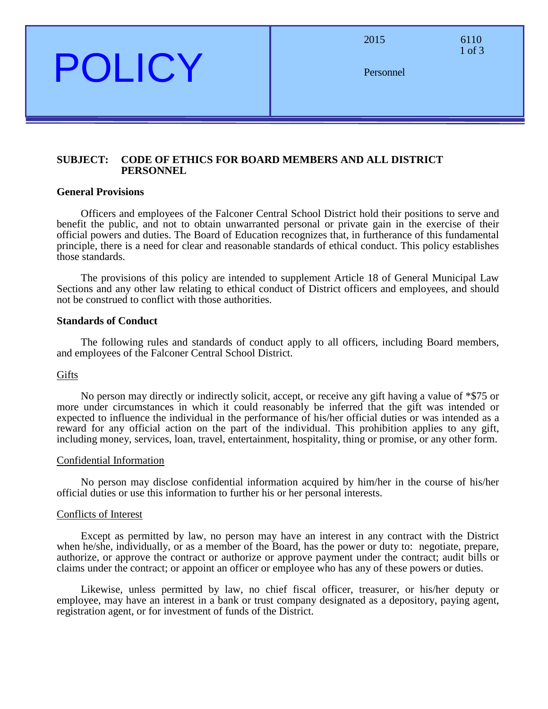2015 6110

1 of 3

Personnel

# **SUBJECT: CODE OF ETHICS FOR BOARD MEMBERS AND ALL DISTRICT PERSONNEL**

# **General Provisions**

POLICY

Officers and employees of the Falconer Central School District hold their positions to serve and benefit the public, and not to obtain unwarranted personal or private gain in the exercise of their official powers and duties. The Board of Education recognizes that, in furtherance of this fundamental principle, there is a need for clear and reasonable standards of ethical conduct. This policy establishes those standards.

The provisions of this policy are intended to supplement Article 18 of General Municipal Law Sections and any other law relating to ethical conduct of District officers and employees, and should not be construed to conflict with those authorities.

## **Standards of Conduct**

The following rules and standards of conduct apply to all officers, including Board members, and employees of the Falconer Central School District.

# **Gifts**

No person may directly or indirectly solicit, accept, or receive any gift having a value of \*\$75 or more under circumstances in which it could reasonably be inferred that the gift was intended or expected to influence the individual in the performance of his/her official duties or was intended as a reward for any official action on the part of the individual. This prohibition applies to any gift, including money, services, loan, travel, entertainment, hospitality, thing or promise, or any other form.

## Confidential Information

No person may disclose confidential information acquired by him/her in the course of his/her official duties or use this information to further his or her personal interests.

## Conflicts of Interest

Except as permitted by law, no person may have an interest in any contract with the District when he/she, individually, or as a member of the Board, has the power or duty to: negotiate, prepare, authorize, or approve the contract or authorize or approve payment under the contract; audit bills or claims under the contract; or appoint an officer or employee who has any of these powers or duties.

Likewise, unless permitted by law, no chief fiscal officer, treasurer, or his/her deputy or employee, may have an interest in a bank or trust company designated as a depository, paying agent, registration agent, or for investment of funds of the District.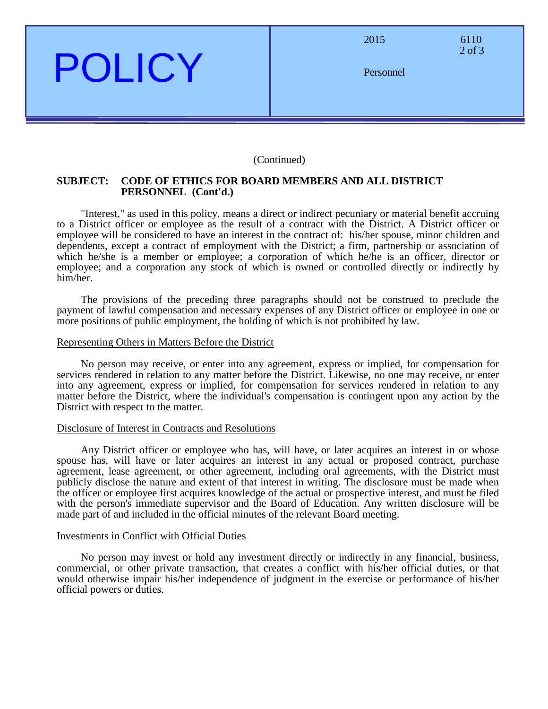

| 2015      | 6110<br>$2$ of $3$ |
|-----------|--------------------|
| Personnel |                    |
|           |                    |

## (Continued)

## **SUBJECT: CODE OF ETHICS FOR BOARD MEMBERS AND ALL DISTRICT PERSONNEL (Cont'd.)**

"Interest," as used in this policy, means a direct or indirect pecuniary or material benefit accruing to a District officer or employee as the result of a contract with the District. A District officer or employee will be considered to have an interest in the contract of: his/her spouse, minor children and dependents, except a contract of employment with the District; a firm, partnership or association of which he/she is a member or employee; a corporation of which he/he is an officer, director or employee; and a corporation any stock of which is owned or controlled directly or indirectly by him/her.

The provisions of the preceding three paragraphs should not be construed to preclude the payment of lawful compensation and necessary expenses of any District officer or employee in one or more positions of public employment, the holding of which is not prohibited by law.

#### Representing Others in Matters Before the District

No person may receive, or enter into any agreement, express or implied, for compensation for services rendered in relation to any matter before the District. Likewise, no one may receive, or enter into any agreement, express or implied, for compensation for services rendered in relation to any matter before the District, where the individual's compensation is contingent upon any action by the District with respect to the matter.

## Disclosure of Interest in Contracts and Resolutions

Any District officer or employee who has, will have, or later acquires an interest in or whose spouse has, will have or later acquires an interest in any actual or proposed contract, purchase agreement, lease agreement, or other agreement, including oral agreements, with the District must publicly disclose the nature and extent of that interest in writing. The disclosure must be made when the officer or employee first acquires knowledge of the actual or prospective interest, and must be filed with the person's immediate supervisor and the Board of Education. Any written disclosure will be made part of and included in the official minutes of the relevant Board meeting.

#### Investments in Conflict with Official Duties

No person may invest or hold any investment directly or indirectly in any financial, business, commercial, or other private transaction, that creates a conflict with his/her official duties, or that would otherwise impair his/her independence of judgment in the exercise or performance of his/her official powers or duties.